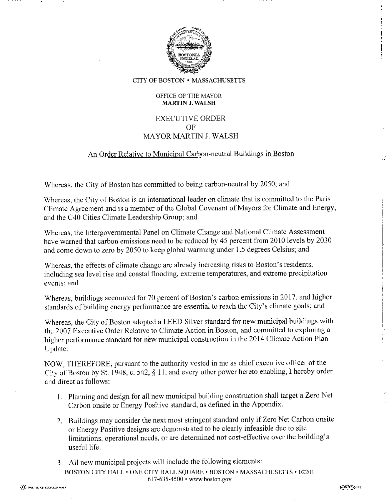

CITY OF BOSTON • MASSACHUSETTS

#### OFFICE OF THE MAYOR **MARTIN J. WALSH**

# **EXECUTIVE ORDER** OF **MAYOR MARTIN J. WALSH**

### An Order Relative to Municipal Carbon-neutral Buildings in Boston

Whereas, the City of Boston has committed to being carbon-neutral by 2050; and

Whereas, the City of Boston is an international leader on climate that is committed to the Paris Climate Agreement and is a member of the Global Covenant of Mayors for Climate and Energy, and the C40 Cities Climate Leadership Group; and

Whereas, the Intergovernmental Panel on Climate Change and National Climate Assessment have warned that carbon emissions need to be reduced by 45 percent from 2010 levels by 2030 and come down to zero by 2050 to keep global warming under 1.5 degrees Celsius; and

Whereas, the effects of climate change are already increasing risks to Boston's residents, including sea level rise and coastal flooding, extreme temperatures, and extreme precipitation events; and

Whereas, buildings accounted for 70 percent of Boston's carbon emissions in 2017, and higher standards of building energy performance are essential to reach the City's climate goals; and

Whereas, the City of Boston adopted a LEED Silver standard for new municipal buildings with the 2007 Executive Order Relative to Climate Action in Boston, and committed to exploring a higher performance standard for new municipal construction in the 2014 Climate Action Plan Update:

NOW, THEREFORE, pursuant to the authority vested in me as chief executive officer of the City of Boston by St. 1948, c. 542, § 11, and every other power hereto enabling, I hereby order and direct as follows:

- 1. Planning and design for all new municipal building construction shall target a Zero Net Carbon onsite or Energy Positive standard, as defined in the Appendix.
- 2. Buildings may consider the next most stringent standard only if Zero Net Carbon onsite or Energy Positive designs are demonstrated to be clearly infeasible due to site limitations, operational needs, or are determined not cost-effective over the building's useful life.
- 3. All new municipal projects will include the following elements: BOSTON CITY HALL . ONE CITY HALL SOUARE . BOSTON . MASSACHUSETTS . 02201 617-635-4500 • www.boston.gov

 $C600/187$   $-$  48N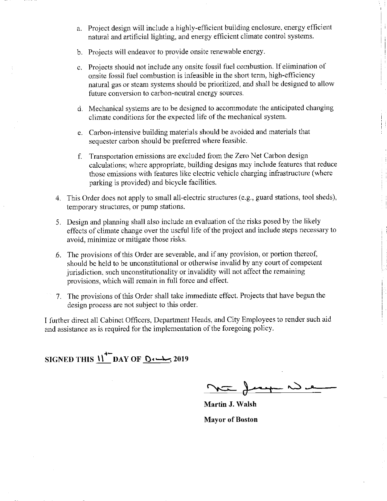- a. Project design will include a highly-efficient building enclosure, energy efficient natural and artificial lighting, and energy efficient climate control systems.
- b. Projects will endeavor to provide onsite renewable energy.
- c. Projects should not include any onsite fossil fuel combustion. If elimination of onsite fossil fuel combustion is infeasible in the short term, high-efficiency natural gas or steam systems should be prioritized, and shall be designed to allow future conversion to carbon-neutral energy sources.
- d. Mechanical systems are to be designed to accommodate the anticipated changing climate conditions for the expected life of the mechanical system.
- e. Carbon-intensive building materials should be avoided and materials that sequester carbon should be preferred where feasible.
- f. Transportation emissions are excluded from the Zero Net Carbon design calculations; where appropriate, building designs may include features that reduce those emissions with features like electric vehicle charging infrastructure (where parking is provided) and bicycle facilities.
- 4. This Order does not apply to small all-electric structures (e.g., guard stations, tool sheds), temporary structures, or pump stations.
- 5. Design and planning shall also include an evaluation of the risks posed by the likely effects of climate change over the useful life of the project and include steps necessary to avoid, minimize or mitigate those risks.
- 6. The provisions of this Order are severable, and if any provision, or portion thereof, should be held to be unconstitutional or otherwise invalid by any court of competent jurisdiction, such unconstitutionality or invalidity will not affect the remaining provisions, which will remain in full force and effect.
- 7. The provisions of this Order shall take immediate effect. Projects that have begun the design process are not subject to this order.

I further direct all Cabinet Officers, Department Heads, and City Employees to render such aid and assistance as is required for the implementation of the foregoing policy.

SIGNED THIS  $\bigcup^{\bullet-}$  DAY OF  $\bigcirc$ 

**Martin J. Walsh Mayor of Boston**